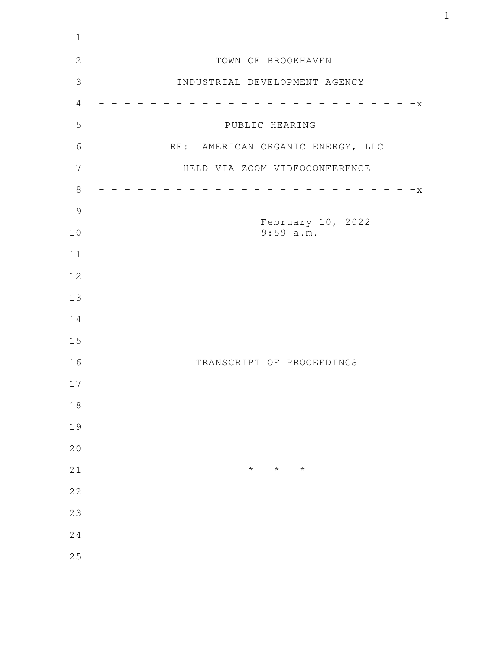| $1\,$          |                                  |
|----------------|----------------------------------|
| $\mathbf{2}$   | TOWN OF BROOKHAVEN               |
| $\mathfrak{Z}$ | INDUSTRIAL DEVELOPMENT AGENCY    |
| $\overline{4}$ | $-x$                             |
| 5              | PUBLIC HEARING                   |
| 6              | RE: AMERICAN ORGANIC ENERGY, LLC |
| $\overline{7}$ | HELD VIA ZOOM VIDEOCONFERENCE    |
| $8\,$          | X                                |
| $\mathcal{G}$  |                                  |
| 10             | February 10, 2022<br>$9:59$ a.m. |
| 11             |                                  |
| 12             |                                  |
| 13             |                                  |
| 14             |                                  |
| 15             |                                  |
| 16             | TRANSCRIPT OF PROCEEDINGS        |
| 17             |                                  |
| $1\,8$         |                                  |
| 19             |                                  |
| 20             |                                  |
| 21             | $\star$<br>$\star$<br>$\star$    |
| 22             |                                  |
| 23             |                                  |
| 24             |                                  |
| 25             |                                  |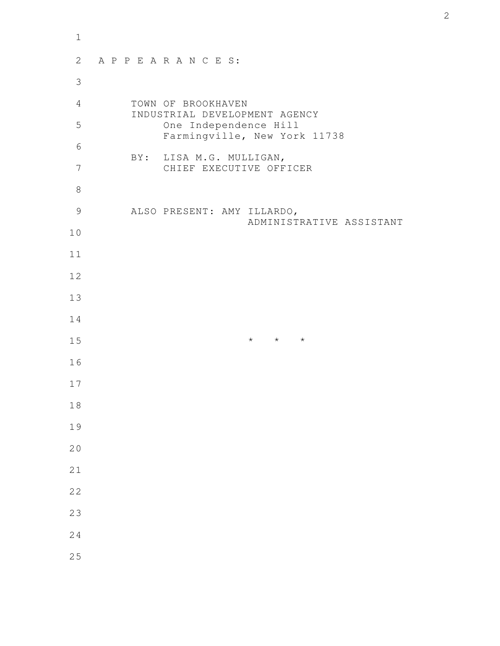| $\mathbf 1$    |                                                        |
|----------------|--------------------------------------------------------|
| 2              | APPEARANCES:                                           |
| $\mathfrak{Z}$ |                                                        |
| $\overline{4}$ | TOWN OF BROOKHAVEN<br>INDUSTRIAL DEVELOPMENT AGENCY    |
| 5              | One Independence Hill<br>Farmingville, New York 11738  |
| 6              | BY: LISA M.G. MULLIGAN,                                |
| 7              | CHIEF EXECUTIVE OFFICER                                |
| $\,8\,$        |                                                        |
| $\mathcal{G}$  | ALSO PRESENT: AMY ILLARDO,<br>ADMINISTRATIVE ASSISTANT |
| $10$           |                                                        |
| 11             |                                                        |
| 12             |                                                        |
| 13             |                                                        |
| 14             |                                                        |
| 15             | $\star$ $\star$ $\star$                                |
| 16             |                                                        |
| 17             |                                                        |
| 18             |                                                        |
| 19             |                                                        |
| 20             |                                                        |
| 21             |                                                        |
| 22             |                                                        |
| 23             |                                                        |
| 24             |                                                        |
| 25             |                                                        |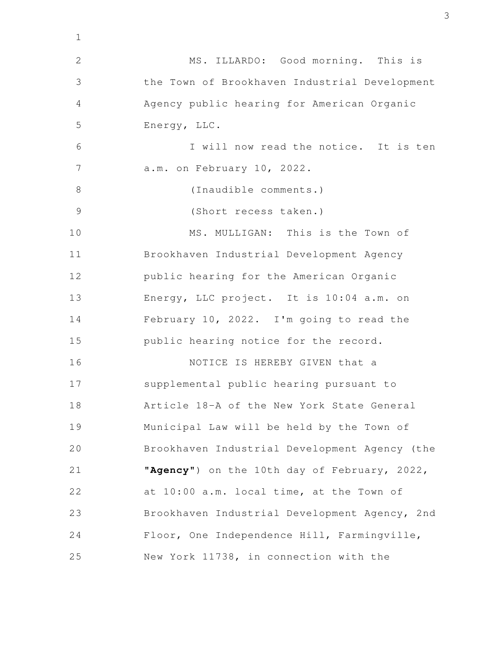| $\mathbf 1$    |                                               |
|----------------|-----------------------------------------------|
| $\mathbf{2}$   | MS. ILLARDO: Good morning. This is            |
| 3              | the Town of Brookhaven Industrial Development |
| 4              | Agency public hearing for American Organic    |
| 5              | Energy, LLC.                                  |
| 6              | I will now read the notice. It is ten         |
| $\overline{7}$ | a.m. on February 10, 2022.                    |
| $8\,$          | (Inaudible comments.)                         |
| $\mathcal{G}$  | (Short recess taken.)                         |
| 10             | MS. MULLIGAN: This is the Town of             |
| 11             | Brookhaven Industrial Development Agency      |
| 12             | public hearing for the American Organic       |
| 13             | Energy, LLC project. It is 10:04 a.m. on      |
| 14             | February 10, 2022. I'm going to read the      |
| 15             | public hearing notice for the record.         |
| 16             | NOTICE IS HEREBY GIVEN that a                 |
| 17             | supplemental public hearing pursuant to       |
| 18             | Article 18-A of the New York State General    |
| 19             | Municipal Law will be held by the Town of     |
| 20             | Brookhaven Industrial Development Agency (the |
| 21             | "Agency") on the 10th day of February, 2022,  |
| 22             | at 10:00 a.m. local time, at the Town of      |
| 23             | Brookhaven Industrial Development Agency, 2nd |
| 24             | Floor, One Independence Hill, Farmingville,   |
| 25             | New York 11738, in connection with the        |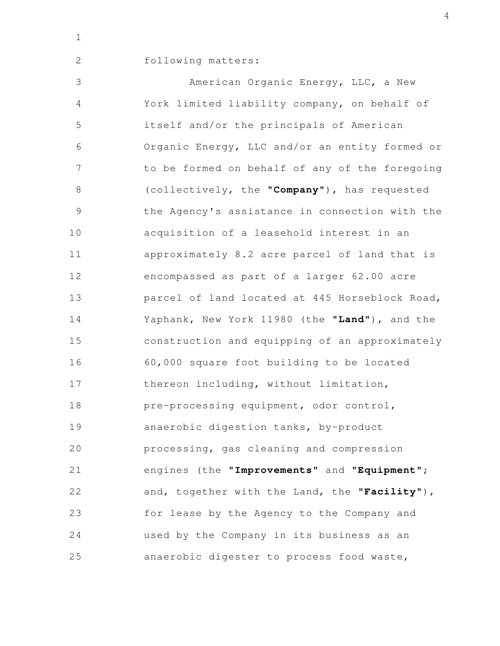2

## following matters:

American Organic Energy, LLC, a New York limited liability company, on behalf of itself and/or the principals of American Organic Energy, LLC and/or an entity formed or to be formed on behalf of any of the foregoing (collectively, the "**Company**"), has requested the Agency's assistance in connection with the acquisition of a leasehold interest in an approximately 8.2 acre parcel of land that is encompassed as part of a larger 62.00 acre parcel of land located at 445 Horseblock Road, Yaphank, New York 11980 (the "**Land**"), and the construction and equipping of an approximately 60,000 square foot building to be located thereon including, without limitation, pre-processing equipment, odor control, anaerobic digestion tanks, by-product processing, gas cleaning and compression engines (the "**Improvements**" and "**Equipment**"; and, together with the Land, the "**Facility**"), for lease by the Agency to the Company and used by the Company in its business as an anaerobic digester to process food waste, 3 4 5 6 7 8 9 10 11 12 13 14 15 16 17 18 19 20 21 22 23 24 25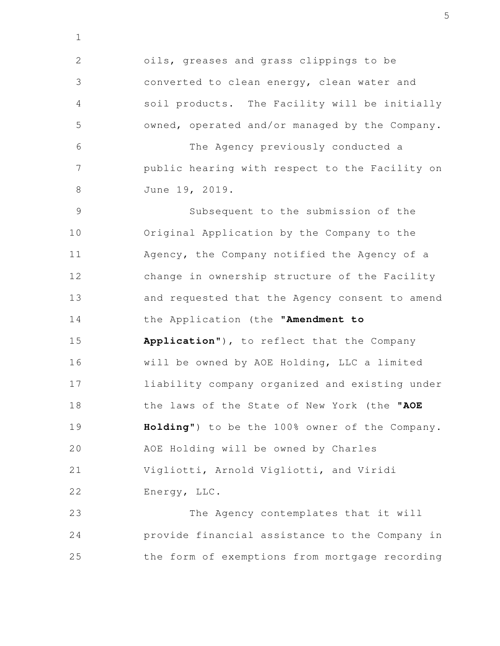oils, greases and grass clippings to be converted to clean energy, clean water and soil products. The Facility will be initially owned, operated and/or managed by the Company. The Agency previously conducted a public hearing with respect to the Facility on June 19, 2019. Subsequent to the submission of the Original Application by the Company to the Agency, the Company notified the Agency of a change in ownership structure of the Facility and requested that the Agency consent to amend the Application (the "**Amendment to Application**"), to reflect that the Company will be owned by AOE Holding, LLC a limited liability company organized and existing under the laws of the State of New York (the "**AOE Holding**") to be the 100% owner of the Company. AOE Holding will be owned by Charles Vigliotti, Arnold Vigliotti, and Viridi Energy, LLC. The Agency contemplates that it will 2 3 4 5 6 7 8 9 10 11 12 13 14 15 16 17 18 19 20 21 22 23

1

provide financial assistance to the Company in the form of exemptions from mortgage recording 24 25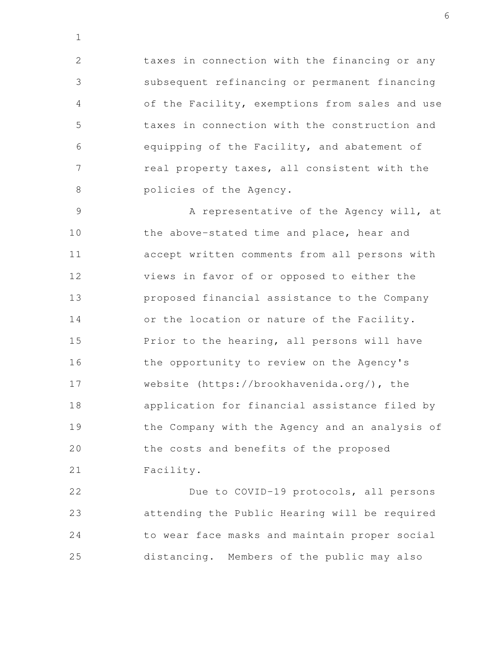taxes in connection with the financing or any subsequent refinancing or permanent financing of the Facility, exemptions from sales and use taxes in connection with the construction and equipping of the Facility, and abatement of real property taxes, all consistent with the policies of the Agency. 2 3 4 5 6 7 8

1

A representative of the Agency will, at the above-stated time and place, hear and accept written comments from all persons with views in favor of or opposed to either the proposed financial assistance to the Company or the location or nature of the Facility. Prior to the hearing, all persons will have the opportunity to review on the Agency's website (https://brookhavenida.org/), the application for financial assistance filed by the Company with the Agency and an analysis of the costs and benefits of the proposed Facility. 9 10 11 12 13 14 15 16 17 18 19 20 21

Due to COVID-19 protocols, all persons attending the Public Hearing will be required to wear face masks and maintain proper social distancing. Members of the public may also 22 23 24 25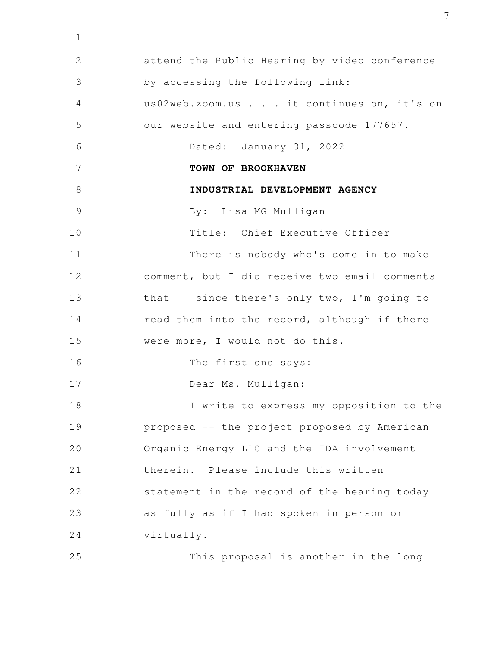attend the Public Hearing by video conference by accessing the following link: us02web.zoom.us . . . it continues on, it's on our website and entering passcode 177657. Dated: January 31, 2022 **TOWN OF BROOKHAVEN INDUSTRIAL DEVELOPMENT AGENCY** By: Lisa MG Mulligan Title: Chief Executive Officer There is nobody who's come in to make comment, but I did receive two email comments that -- since there's only two, I'm going to read them into the record, although if there were more, I would not do this. The first one says: Dear Ms. Mulligan: I write to express my opposition to the proposed -- the project proposed by American Organic Energy LLC and the IDA involvement therein. Please include this written statement in the record of the hearing today as fully as if I had spoken in person or virtually. This proposal is another in the long 2 3 4 5 6 7 8 9 10 11 12 13 14 15 16 17 18 19 20 21 22 23 24 25

1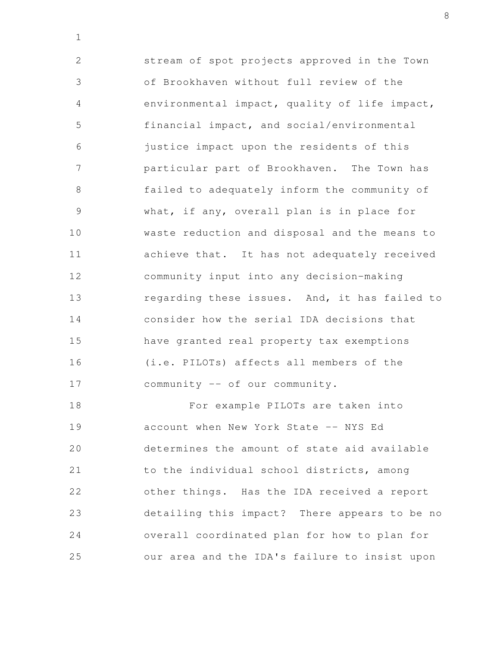stream of spot projects approved in the Town of Brookhaven without full review of the environmental impact, quality of life impact, financial impact, and social/environmental justice impact upon the residents of this particular part of Brookhaven. The Town has failed to adequately inform the community of what, if any, overall plan is in place for waste reduction and disposal and the means to achieve that. It has not adequately received community input into any decision-making regarding these issues. And, it has failed to consider how the serial IDA decisions that have granted real property tax exemptions (i.e. PILOTs) affects all members of the community -- of our community. 2 3 4 5 6 7 8 9 10 11 12 13 14 15 16 17

1

For example PILOTs are taken into account when New York State -- NYS Ed determines the amount of state aid available to the individual school districts, among other things. Has the IDA received a report detailing this impact? There appears to be no overall coordinated plan for how to plan for our area and the IDA's failure to insist upon 18 19 20 21 22 23 24 25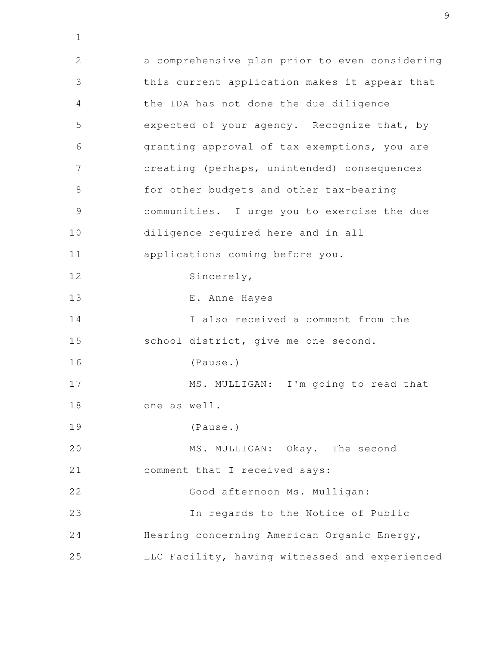a comprehensive plan prior to even considering this current application makes it appear that the IDA has not done the due diligence expected of your agency. Recognize that, by granting approval of tax exemptions, you are creating (perhaps, unintended) consequences for other budgets and other tax-bearing communities. I urge you to exercise the due diligence required here and in all applications coming before you. Sincerely, E. Anne Hayes I also received a comment from the school district, give me one second. (Pause.) MS. MULLIGAN: I'm going to read that one as well. (Pause.) MS. MULLIGAN: Okay. The second comment that I received says: Good afternoon Ms. Mulligan: In regards to the Notice of Public Hearing concerning American Organic Energy, LLC Facility, having witnessed and experienced 2 3 4 5 6 7 8 9 10 11 12 13 14 15 16 17 18 19 20 21 22 23 24 25

1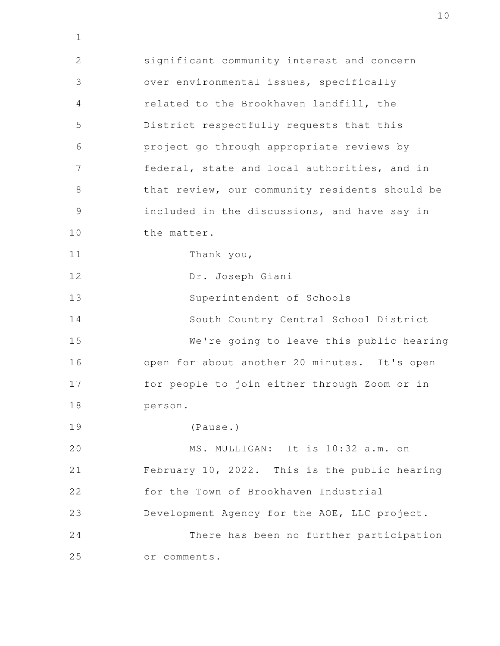significant community interest and concern over environmental issues, specifically related to the Brookhaven landfill, the District respectfully requests that this project go through appropriate reviews by federal, state and local authorities, and in that review, our community residents should be included in the discussions, and have say in the matter. Thank you, Dr. Joseph Giani Superintendent of Schools South Country Central School District We're going to leave this public hearing open for about another 20 minutes. It's open for people to join either through Zoom or in person. (Pause.) MS. MULLIGAN: It is 10:32 a.m. on February 10, 2022. This is the public hearing for the Town of Brookhaven Industrial Development Agency for the AOE, LLC project. There has been no further participation or comments. 2 3 4 5 6 7 8 9 10 11 12 13 14 15 16 17 18 19 20 21 22 23 24 25

1